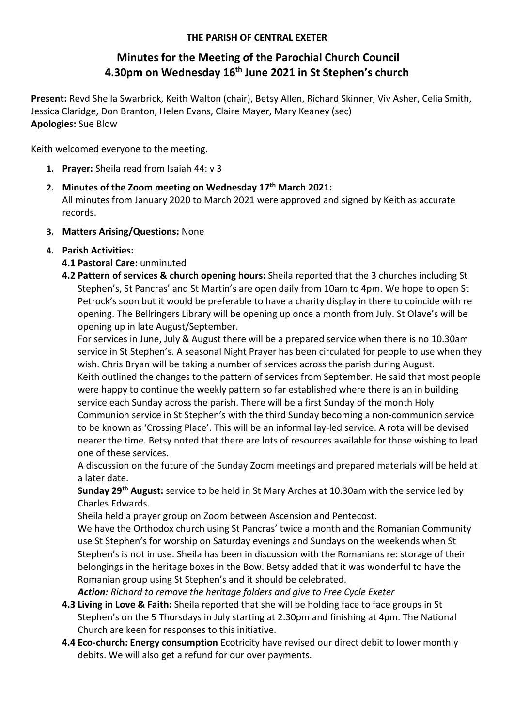## THE PARISH OF CENTRAL EXETER

# Minutes for the Meeting of the Parochial Church Council 4.30pm on Wednesday 16<sup>th</sup> June 2021 in St Stephen's church

Present: Revd Sheila Swarbrick, Keith Walton (chair), Betsy Allen, Richard Skinner, Viv Asher, Celia Smith, Jessica Claridge, Don Branton, Helen Evans, Claire Mayer, Mary Keaney (sec) Apologies: Sue Blow

Keith welcomed everyone to the meeting.

- 1. Prayer: Sheila read from Isaiah 44: v 3
- 2. Minutes of the Zoom meeting on Wednesday 17<sup>th</sup> March 2021: All minutes from January 2020 to March 2021 were approved and signed by Keith as accurate records.
- 3. Matters Arising/Questions: None

# 4. Parish Activities:

# 4.1 Pastoral Care: unminuted

4.2 Pattern of services & church opening hours: Sheila reported that the 3 churches including St Stephen's, St Pancras' and St Martin's are open daily from 10am to 4pm. We hope to open St Petrock's soon but it would be preferable to have a charity display in there to coincide with re opening. The Bellringers Library will be opening up once a month from July. St Olave's will be opening up in late August/September.

For services in June, July & August there will be a prepared service when there is no 10.30am service in St Stephen's. A seasonal Night Prayer has been circulated for people to use when they wish. Chris Bryan will be taking a number of services across the parish during August. Keith outlined the changes to the pattern of services from September. He said that most people were happy to continue the weekly pattern so far established where there is an in building service each Sunday across the parish. There will be a first Sunday of the month Holy Communion service in St Stephen's with the third Sunday becoming a non-communion service to be known as 'Crossing Place'. This will be an informal lay-led service. A rota will be devised nearer the time. Betsy noted that there are lots of resources available for those wishing to lead one of these services.

A discussion on the future of the Sunday Zoom meetings and prepared materials will be held at a later date.

Sunday 29<sup>th</sup> August: service to be held in St Mary Arches at 10.30am with the service led by Charles Edwards.

Sheila held a prayer group on Zoom between Ascension and Pentecost.

We have the Orthodox church using St Pancras' twice a month and the Romanian Community use St Stephen's for worship on Saturday evenings and Sundays on the weekends when St Stephen's is not in use. Sheila has been in discussion with the Romanians re: storage of their belongings in the heritage boxes in the Bow. Betsy added that it was wonderful to have the Romanian group using St Stephen's and it should be celebrated.

Action: Richard to remove the heritage folders and give to Free Cycle Exeter

- 4.3 Living in Love & Faith: Sheila reported that she will be holding face to face groups in St Stephen's on the 5 Thursdays in July starting at 2.30pm and finishing at 4pm. The National Church are keen for responses to this initiative.
- 4.4 Eco-church: Energy consumption Ecotricity have revised our direct debit to lower monthly debits. We will also get a refund for our over payments.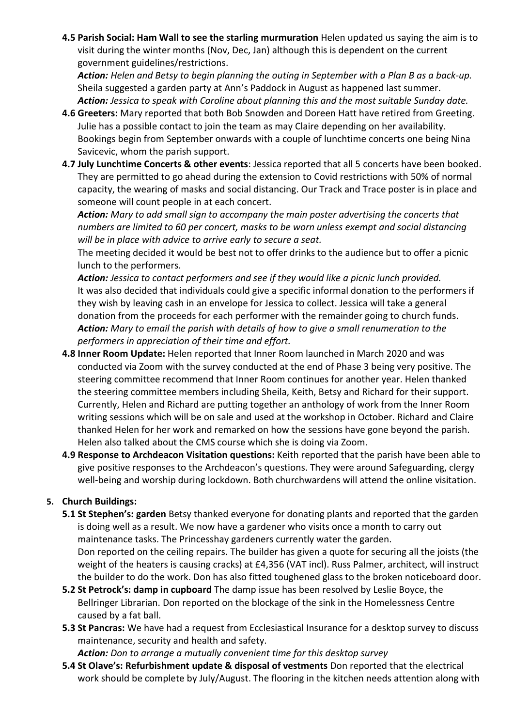4.5 Parish Social: Ham Wall to see the starling murmuration Helen updated us saying the aim is to visit during the winter months (Nov, Dec, Jan) although this is dependent on the current government guidelines/restrictions.

Action: Helen and Betsy to begin planning the outing in September with a Plan B as a back-up. Sheila suggested a garden party at Ann's Paddock in August as happened last summer. Action: Jessica to speak with Caroline about planning this and the most suitable Sunday date.

- 4.6 Greeters: Mary reported that both Bob Snowden and Doreen Hatt have retired from Greeting. Julie has a possible contact to join the team as may Claire depending on her availability. Bookings begin from September onwards with a couple of lunchtime concerts one being Nina Savicevic, whom the parish support.
- 4.7 July Lunchtime Concerts & other events: Jessica reported that all 5 concerts have been booked. They are permitted to go ahead during the extension to Covid restrictions with 50% of normal capacity, the wearing of masks and social distancing. Our Track and Trace poster is in place and someone will count people in at each concert.

Action: Mary to add small sign to accompany the main poster advertising the concerts that numbers are limited to 60 per concert, masks to be worn unless exempt and social distancing will be in place with advice to arrive early to secure a seat.

The meeting decided it would be best not to offer drinks to the audience but to offer a picnic lunch to the performers.

Action: Jessica to contact performers and see if they would like a picnic lunch provided. It was also decided that individuals could give a specific informal donation to the performers if they wish by leaving cash in an envelope for Jessica to collect. Jessica will take a general donation from the proceeds for each performer with the remainder going to church funds. Action: Mary to email the parish with details of how to give a small renumeration to the performers in appreciation of their time and effort.

- 4.8 Inner Room Update: Helen reported that Inner Room launched in March 2020 and was conducted via Zoom with the survey conducted at the end of Phase 3 being very positive. The steering committee recommend that Inner Room continues for another year. Helen thanked the steering committee members including Sheila, Keith, Betsy and Richard for their support. Currently, Helen and Richard are putting together an anthology of work from the Inner Room writing sessions which will be on sale and used at the workshop in October. Richard and Claire thanked Helen for her work and remarked on how the sessions have gone beyond the parish. Helen also talked about the CMS course which she is doing via Zoom.
- 4.9 Response to Archdeacon Visitation questions: Keith reported that the parish have been able to give positive responses to the Archdeacon's questions. They were around Safeguarding, clergy well-being and worship during lockdown. Both churchwardens will attend the online visitation.

# 5. Church Buildings:

- 5.1 St Stephen's: garden Betsy thanked everyone for donating plants and reported that the garden is doing well as a result. We now have a gardener who visits once a month to carry out maintenance tasks. The Princesshay gardeners currently water the garden. Don reported on the ceiling repairs. The builder has given a quote for securing all the joists (the weight of the heaters is causing cracks) at £4,356 (VAT incl). Russ Palmer, architect, will instruct the builder to do the work. Don has also fitted toughened glass to the broken noticeboard door.
- 5.2 St Petrock's: damp in cupboard The damp issue has been resolved by Leslie Boyce, the Bellringer Librarian. Don reported on the blockage of the sink in the Homelessness Centre caused by a fat ball.
- 5.3 St Pancras: We have had a request from Ecclesiastical Insurance for a desktop survey to discuss maintenance, security and health and safety.

Action: Don to arrange a mutually convenient time for this desktop survey

5.4 St Olave's: Refurbishment update & disposal of vestments Don reported that the electrical work should be complete by July/August. The flooring in the kitchen needs attention along with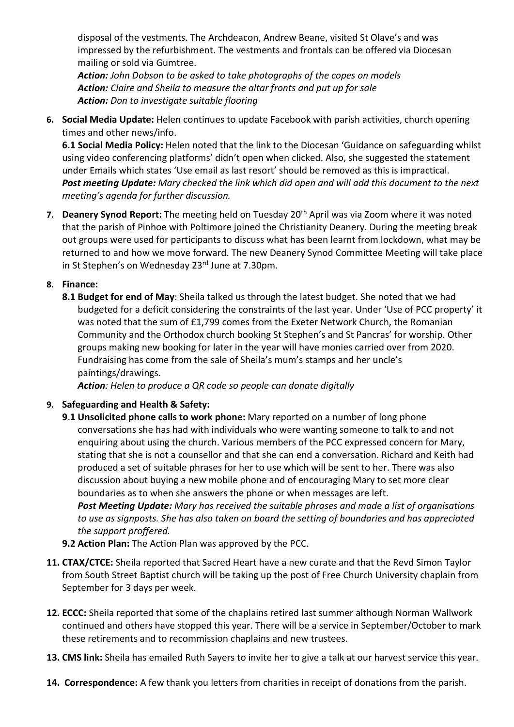disposal of the vestments. The Archdeacon, Andrew Beane, visited St Olave's and was impressed by the refurbishment. The vestments and frontals can be offered via Diocesan mailing or sold via Gumtree.

Action: John Dobson to be asked to take photographs of the copes on models Action: Claire and Sheila to measure the altar fronts and put up for sale Action: Don to investigate suitable flooring

6. Social Media Update: Helen continues to update Facebook with parish activities, church opening times and other news/info.

6.1 Social Media Policy: Helen noted that the link to the Diocesan 'Guidance on safeguarding whilst using video conferencing platforms' didn't open when clicked. Also, she suggested the statement under Emails which states 'Use email as last resort' should be removed as this is impractical. Post meeting Update: Mary checked the link which did open and will add this document to the next meeting's agenda for further discussion.

- 7. Deanery Synod Report: The meeting held on Tuesday 20<sup>th</sup> April was via Zoom where it was noted that the parish of Pinhoe with Poltimore joined the Christianity Deanery. During the meeting break out groups were used for participants to discuss what has been learnt from lockdown, what may be returned to and how we move forward. The new Deanery Synod Committee Meeting will take place in St Stephen's on Wednesday 23rd June at 7.30pm.
- 8. Finance:
	- 8.1 Budget for end of May: Sheila talked us through the latest budget. She noted that we had budgeted for a deficit considering the constraints of the last year. Under 'Use of PCC property' it was noted that the sum of £1,799 comes from the Exeter Network Church, the Romanian Community and the Orthodox church booking St Stephen's and St Pancras' for worship. Other groups making new booking for later in the year will have monies carried over from 2020. Fundraising has come from the sale of Sheila's mum's stamps and her uncle's paintings/drawings.

Action: Helen to produce a QR code so people can donate digitally

## 9. Safeguarding and Health & Safety:

9.1 Unsolicited phone calls to work phone: Mary reported on a number of long phone conversations she has had with individuals who were wanting someone to talk to and not enquiring about using the church. Various members of the PCC expressed concern for Mary, stating that she is not a counsellor and that she can end a conversation. Richard and Keith had produced a set of suitable phrases for her to use which will be sent to her. There was also discussion about buying a new mobile phone and of encouraging Mary to set more clear boundaries as to when she answers the phone or when messages are left.

Post Meeting Update: Mary has received the suitable phrases and made a list of organisations to use as signposts. She has also taken on board the setting of boundaries and has appreciated the support proffered.

- 9.2 Action Plan: The Action Plan was approved by the PCC.
- 11. CTAX/CTCE: Sheila reported that Sacred Heart have a new curate and that the Revd Simon Taylor from South Street Baptist church will be taking up the post of Free Church University chaplain from September for 3 days per week.
- 12. ECCC: Sheila reported that some of the chaplains retired last summer although Norman Wallwork continued and others have stopped this year. There will be a service in September/October to mark these retirements and to recommission chaplains and new trustees.
- 13. CMS link: Sheila has emailed Ruth Sayers to invite her to give a talk at our harvest service this year.
- 14. Correspondence: A few thank you letters from charities in receipt of donations from the parish.